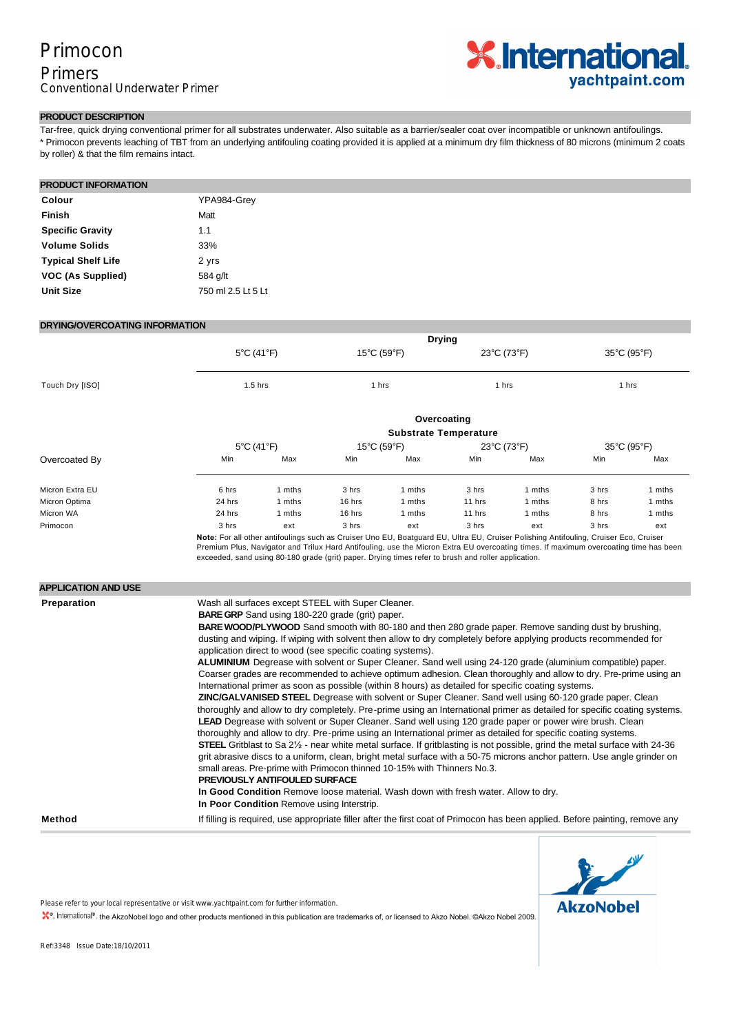# Primocon

### Primers Conventional Underwater Primer



#### **PRODUCT DESCRIPTION**

Tar-free, quick drying conventional primer for all substrates underwater. Also suitable as a barrier/sealer coat over incompatible or unknown antifoulings. \* Primocon prevents leaching of TBT from an underlying antifouling coating provided it is applied at a minimum dry film thickness of 80 microns (minimum 2 coats by roller) & that the film remains intact.

#### **PRODUCT INFORMATION**

| Colour                    | YPA984-Grey        |
|---------------------------|--------------------|
| Finish                    | Matt               |
| <b>Specific Gravity</b>   | 1.1                |
| <b>Volume Solids</b>      | 33%                |
| <b>Typical Shelf Life</b> | 2 yrs              |
| VOC (As Supplied)         | 584 g/lt           |
| <b>Unit Size</b>          | 750 ml 2.5 Lt 5 Lt |

#### **DRYING/OVERCOATING INFORMATION**

|                            | <b>Drying</b>                                                                                                                                                                                                                                                                                                                                                                                                                                                                                                                                                                                                                                                                                                                                                                                                                                                                                                                                                                                                                                                                                                                                                                                                                                                                                                                                                                                                                                                                                                                                                                                                                                                                                                                                                                  |                                 |             |                                                                                                     |             |                                                                                                                                                                                                                                                                              |             |             |  |
|----------------------------|--------------------------------------------------------------------------------------------------------------------------------------------------------------------------------------------------------------------------------------------------------------------------------------------------------------------------------------------------------------------------------------------------------------------------------------------------------------------------------------------------------------------------------------------------------------------------------------------------------------------------------------------------------------------------------------------------------------------------------------------------------------------------------------------------------------------------------------------------------------------------------------------------------------------------------------------------------------------------------------------------------------------------------------------------------------------------------------------------------------------------------------------------------------------------------------------------------------------------------------------------------------------------------------------------------------------------------------------------------------------------------------------------------------------------------------------------------------------------------------------------------------------------------------------------------------------------------------------------------------------------------------------------------------------------------------------------------------------------------------------------------------------------------|---------------------------------|-------------|-----------------------------------------------------------------------------------------------------|-------------|------------------------------------------------------------------------------------------------------------------------------------------------------------------------------------------------------------------------------------------------------------------------------|-------------|-------------|--|
|                            |                                                                                                                                                                                                                                                                                                                                                                                                                                                                                                                                                                                                                                                                                                                                                                                                                                                                                                                                                                                                                                                                                                                                                                                                                                                                                                                                                                                                                                                                                                                                                                                                                                                                                                                                                                                | $5^{\circ}$ C (41 $^{\circ}$ F) | 15°C (59°F) |                                                                                                     |             | $23^{\circ}$ C (73 $^{\circ}$ F)                                                                                                                                                                                                                                             |             | 35°C (95°F) |  |
| Touch Dry [ISO]            | $1.5$ hrs                                                                                                                                                                                                                                                                                                                                                                                                                                                                                                                                                                                                                                                                                                                                                                                                                                                                                                                                                                                                                                                                                                                                                                                                                                                                                                                                                                                                                                                                                                                                                                                                                                                                                                                                                                      |                                 | 1 hrs       |                                                                                                     | 1 hrs       |                                                                                                                                                                                                                                                                              | 1 hrs       |             |  |
|                            | Overcoating                                                                                                                                                                                                                                                                                                                                                                                                                                                                                                                                                                                                                                                                                                                                                                                                                                                                                                                                                                                                                                                                                                                                                                                                                                                                                                                                                                                                                                                                                                                                                                                                                                                                                                                                                                    |                                 |             |                                                                                                     |             |                                                                                                                                                                                                                                                                              |             |             |  |
|                            | <b>Substrate Temperature</b>                                                                                                                                                                                                                                                                                                                                                                                                                                                                                                                                                                                                                                                                                                                                                                                                                                                                                                                                                                                                                                                                                                                                                                                                                                                                                                                                                                                                                                                                                                                                                                                                                                                                                                                                                   |                                 |             |                                                                                                     |             |                                                                                                                                                                                                                                                                              |             |             |  |
|                            | 5°C (41°F)                                                                                                                                                                                                                                                                                                                                                                                                                                                                                                                                                                                                                                                                                                                                                                                                                                                                                                                                                                                                                                                                                                                                                                                                                                                                                                                                                                                                                                                                                                                                                                                                                                                                                                                                                                     |                                 | 15°C (59°F) |                                                                                                     | 23°C (73°F) |                                                                                                                                                                                                                                                                              | 35°C (95°F) |             |  |
| Overcoated By              | Min                                                                                                                                                                                                                                                                                                                                                                                                                                                                                                                                                                                                                                                                                                                                                                                                                                                                                                                                                                                                                                                                                                                                                                                                                                                                                                                                                                                                                                                                                                                                                                                                                                                                                                                                                                            | Max                             | Min         | Max                                                                                                 | Min         | Max                                                                                                                                                                                                                                                                          | Min         | Max         |  |
| Micron Extra EU            | 6 hrs                                                                                                                                                                                                                                                                                                                                                                                                                                                                                                                                                                                                                                                                                                                                                                                                                                                                                                                                                                                                                                                                                                                                                                                                                                                                                                                                                                                                                                                                                                                                                                                                                                                                                                                                                                          | 1 mths                          | 3 hrs       | 1 mths                                                                                              | 3 hrs       | 1 mths                                                                                                                                                                                                                                                                       | 3 hrs       | 1 mths      |  |
| Micron Optima              | 24 hrs                                                                                                                                                                                                                                                                                                                                                                                                                                                                                                                                                                                                                                                                                                                                                                                                                                                                                                                                                                                                                                                                                                                                                                                                                                                                                                                                                                                                                                                                                                                                                                                                                                                                                                                                                                         | 1 mths                          | 16 hrs      | 1 mths                                                                                              | 11 hrs      | 1 mths                                                                                                                                                                                                                                                                       | 8 hrs       | 1 mths      |  |
| Micron WA                  | 24 hrs                                                                                                                                                                                                                                                                                                                                                                                                                                                                                                                                                                                                                                                                                                                                                                                                                                                                                                                                                                                                                                                                                                                                                                                                                                                                                                                                                                                                                                                                                                                                                                                                                                                                                                                                                                         | 1 mths                          | 16 hrs      | 1 mths                                                                                              | 11 hrs      | 1 mths                                                                                                                                                                                                                                                                       | 8 hrs       | 1 mths      |  |
|                            |                                                                                                                                                                                                                                                                                                                                                                                                                                                                                                                                                                                                                                                                                                                                                                                                                                                                                                                                                                                                                                                                                                                                                                                                                                                                                                                                                                                                                                                                                                                                                                                                                                                                                                                                                                                |                                 |             | exceeded, sand using 80-180 grade (grit) paper. Drying times refer to brush and roller application. |             | Note: For all other antifoulings such as Cruiser Uno EU, Boatguard EU, Ultra EU, Cruiser Polishing Antifouling, Cruiser Eco, Cruiser<br>Premium Plus, Navigator and Trilux Hard Antifouling, use the Micron Extra EU overcoating times. If maximum overcoating time has been |             |             |  |
| <b>APPLICATION AND USE</b> |                                                                                                                                                                                                                                                                                                                                                                                                                                                                                                                                                                                                                                                                                                                                                                                                                                                                                                                                                                                                                                                                                                                                                                                                                                                                                                                                                                                                                                                                                                                                                                                                                                                                                                                                                                                |                                 |             |                                                                                                     |             |                                                                                                                                                                                                                                                                              |             |             |  |
| <b>Preparation</b>         | Wash all surfaces except STEEL with Super Cleaner.<br><b>BARE GRP</b> Sand using 180-220 grade (grit) paper.<br><b>BARE WOOD/PLYWOOD</b> Sand smooth with 80-180 and then 280 grade paper. Remove sanding dust by brushing,<br>dusting and wiping. If wiping with solvent then allow to dry completely before applying products recommended for<br>application direct to wood (see specific coating systems).<br>ALUMINIUM Degrease with solvent or Super Cleaner. Sand well using 24-120 grade (aluminium compatible) paper.<br>Coarser grades are recommended to achieve optimum adhesion. Clean thoroughly and allow to dry. Pre-prime using an<br>International primer as soon as possible (within 8 hours) as detailed for specific coating systems.<br>ZINC/GALVANISED STEEL Degrease with solvent or Super Cleaner. Sand well using 60-120 grade paper. Clean<br>thoroughly and allow to dry completely. Pre-prime using an International primer as detailed for specific coating systems.<br>LEAD Degrease with solvent or Super Cleaner. Sand well using 120 grade paper or power wire brush. Clean<br>thoroughly and allow to dry. Pre-prime using an International primer as detailed for specific coating systems.<br><b>STEEL</b> Gritblast to Sa 2 <sup>1</sup> / <sub>2</sub> - near white metal surface. If gritblasting is not possible, grind the metal surface with 24-36<br>grit abrasive discs to a uniform, clean, bright metal surface with a 50-75 microns anchor pattern. Use angle grinder on<br>small areas. Pre-prime with Primocon thinned 10-15% with Thinners No.3.<br><b>PREVIOUSLY ANTIFOULED SURFACE</b><br>In Good Condition Remove loose material. Wash down with fresh water. Allow to dry.<br>In Poor Condition Remove using Interstrip. |                                 |             |                                                                                                     |             |                                                                                                                                                                                                                                                                              |             |             |  |
| Method                     |                                                                                                                                                                                                                                                                                                                                                                                                                                                                                                                                                                                                                                                                                                                                                                                                                                                                                                                                                                                                                                                                                                                                                                                                                                                                                                                                                                                                                                                                                                                                                                                                                                                                                                                                                                                |                                 |             |                                                                                                     |             | If filling is required, use appropriate filler after the first coat of Primocon has been applied. Before painting, remove any                                                                                                                                                |             |             |  |
|                            |                                                                                                                                                                                                                                                                                                                                                                                                                                                                                                                                                                                                                                                                                                                                                                                                                                                                                                                                                                                                                                                                                                                                                                                                                                                                                                                                                                                                                                                                                                                                                                                                                                                                                                                                                                                |                                 |             |                                                                                                     |             |                                                                                                                                                                                                                                                                              |             |             |  |



Please refer to your local representative or visit www.yachtpaint.com for further information.

\*. International®, the AkzoNobel logo and other products mentioned in this publication are trademarks of, or licensed to Akzo Nobel. ©Akzo Nobel 2009.